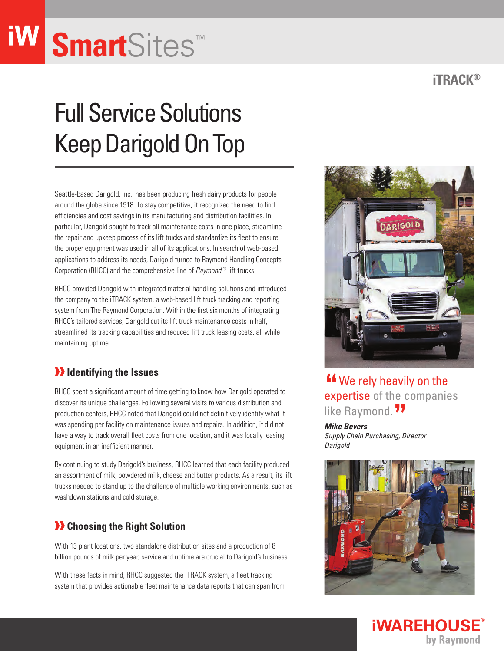## **Smart**Sites™

### Full Service Solutions Keep Darigold On Top

Seattle-based Darigold, Inc., has been producing fresh dairy products for people around the globe since 1918. To stay competitive, it recognized the need to find efficiencies and cost savings in its manufacturing and distribution facilities. In particular, Darigold sought to track all maintenance costs in one place, streamline the repair and upkeep process of its lift trucks and standardize its fleet to ensure the proper equipment was used in all of its applications. In search of web-based applications to address its needs, Darigold turned to Raymond Handling Concepts Corporation (RHCC) and the comprehensive line of *Raymond*<sup>®</sup> lift trucks.

RHCC provided Darigold with integrated material handling solutions and introduced the company to the iTRACK system, a web-based lift truck tracking and reporting system from The Raymond Corporation. Within the first six months of integrating RHCC's tailored services, Darigold cut its lift truck maintenance costs in half, streamlined its tracking capabilities and reduced lift truck leasing costs, all while maintaining uptime.

#### *I* Identifying the Issues

RHCC spent a significant amount of time getting to know how Darigold operated to discover its unique challenges. Following several visits to various distribution and production centers, RHCC noted that Darigold could not definitively identify what it was spending per facility on maintenance issues and repairs. In addition, it did not have a way to track overall fleet costs from one location, and it was locally leasing equipment in an inefficient manner.

By continuing to study Darigold's business, RHCC learned that each facility produced an assortment of milk, powdered milk, cheese and butter products. As a result, its lift trucks needed to stand up to the challenge of multiple working environments, such as washdown stations and cold storage.

#### **X** Choosing the Right Solution

With 13 plant locations, two standalone distribution sites and a production of 8 billion pounds of milk per year, service and uptime are crucial to Darigold's business.

With these facts in mind, RHCC suggested the iTRACK system, a fleet tracking system that provides actionable fleet maintenance data reports that can span from

# **"** We rely heavily on the expertise of the companies

DARIGOLD

like Raymond. <sup>77</sup><br>*Mike Bevers Mike Bevers* 

*Supply Chain Purchasing, Director Darigold*



#### **iTRACK®**